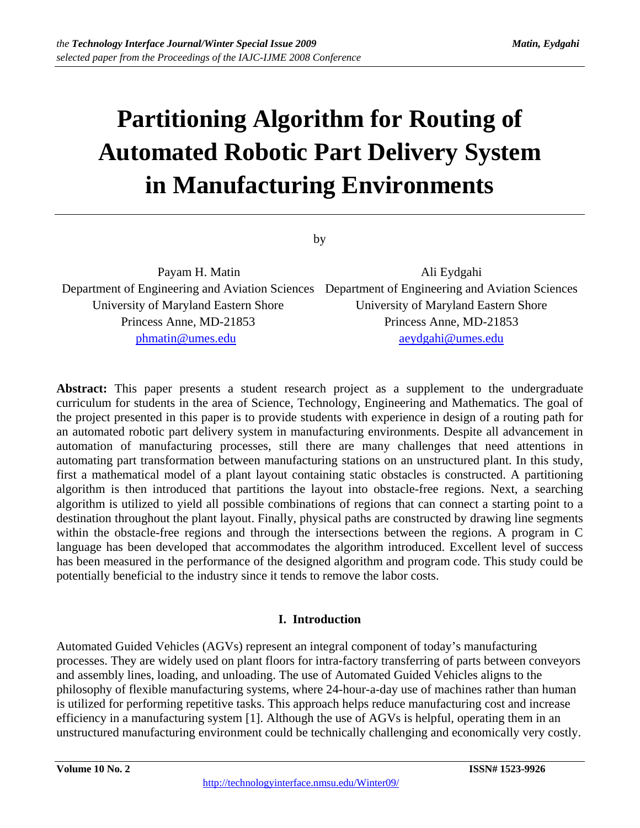# **Partitioning Algorithm for Routing of Automated Robotic Part Delivery System in Manufacturing Environments**

by

Payam H. Matin Ali Eydgahi Department of Engineering and Aviation Sciences Department of Engineering and Aviation Sciences University of Maryland Eastern Shore University of Maryland Eastern Shore Princess Anne, MD-21853 Princess Anne, MD-21853 phmatin@umes.edu aeydgahi@umes.edu

**Abstract:** This paper presents a student research project as a supplement to the undergraduate curriculum for students in the area of Science, Technology, Engineering and Mathematics. The goal of the project presented in this paper is to provide students with experience in design of a routing path for an automated robotic part delivery system in manufacturing environments. Despite all advancement in automation of manufacturing processes, still there are many challenges that need attentions in automating part transformation between manufacturing stations on an unstructured plant. In this study, first a mathematical model of a plant layout containing static obstacles is constructed. A partitioning algorithm is then introduced that partitions the layout into obstacle-free regions. Next, a searching algorithm is utilized to yield all possible combinations of regions that can connect a starting point to a destination throughout the plant layout. Finally, physical paths are constructed by drawing line segments within the obstacle-free regions and through the intersections between the regions. A program in C language has been developed that accommodates the algorithm introduced. Excellent level of success has been measured in the performance of the designed algorithm and program code. This study could be potentially beneficial to the industry since it tends to remove the labor costs.

## **I. Introduction**

Automated Guided Vehicles (AGVs) represent an integral component of today's manufacturing processes. They are widely used on plant floors for intra-factory transferring of parts between conveyors and assembly lines, loading, and unloading. The use of Automated Guided Vehicles aligns to the philosophy of flexible manufacturing systems, where 24-hour-a-day use of machines rather than human is utilized for performing repetitive tasks. This approach helps reduce manufacturing cost and increase efficiency in a manufacturing system [1]. Although the use of AGVs is helpful, operating them in an unstructured manufacturing environment could be technically challenging and economically very costly.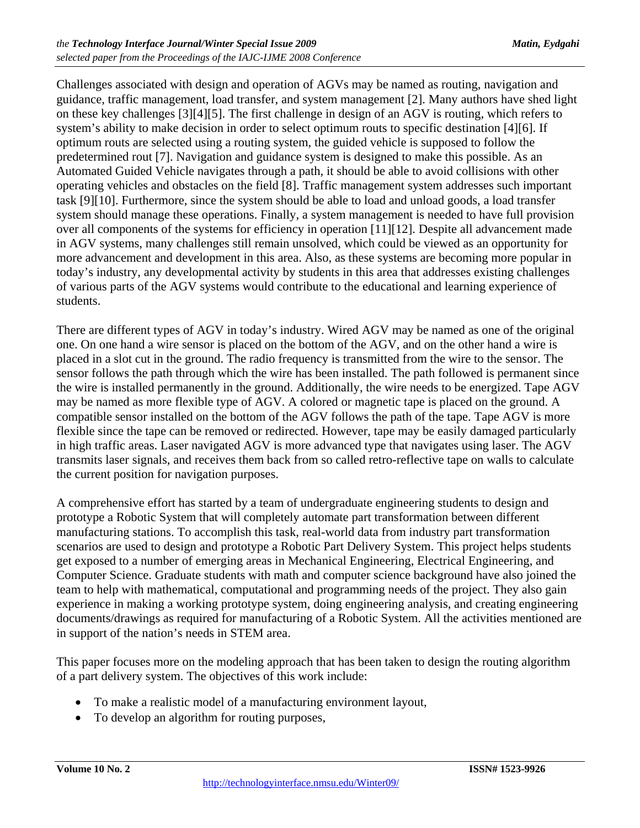Challenges associated with design and operation of AGVs may be named as routing, navigation and guidance, traffic management, load transfer, and system management [2]. Many authors have shed light on these key challenges [3][4][5]. The first challenge in design of an AGV is routing, which refers to system's ability to make decision in order to select optimum routs to specific destination [4][6]. If optimum routs are selected using a routing system, the guided vehicle is supposed to follow the predetermined rout [7]. Navigation and guidance system is designed to make this possible. As an Automated Guided Vehicle navigates through a path, it should be able to avoid collisions with other operating vehicles and obstacles on the field [8]. Traffic management system addresses such important task [9][10]. Furthermore, since the system should be able to load and unload goods, a load transfer system should manage these operations. Finally, a system management is needed to have full provision over all components of the systems for efficiency in operation [11][12]. Despite all advancement made in AGV systems, many challenges still remain unsolved, which could be viewed as an opportunity for more advancement and development in this area. Also, as these systems are becoming more popular in today's industry, any developmental activity by students in this area that addresses existing challenges of various parts of the AGV systems would contribute to the educational and learning experience of students.

There are different types of AGV in today's industry. Wired AGV may be named as one of the original one. On one hand a wire sensor is placed on the bottom of the AGV, and on the other hand a wire is placed in a slot cut in the ground. The radio frequency is transmitted from the wire to the sensor. The sensor follows the path through which the wire has been installed. The path followed is permanent since the wire is installed permanently in the ground. Additionally, the wire needs to be energized. Tape AGV may be named as more flexible type of AGV. A colored or magnetic tape is placed on the ground. A compatible sensor installed on the bottom of the AGV follows the path of the tape. Tape AGV is more flexible since the tape can be removed or redirected. However, tape may be easily damaged particularly in high traffic areas. Laser navigated AGV is more advanced type that navigates using laser. The AGV transmits laser signals, and receives them back from so called retro-reflective tape on walls to calculate the current position for navigation purposes.

A comprehensive effort has started by a team of undergraduate engineering students to design and prototype a Robotic System that will completely automate part transformation between different manufacturing stations. To accomplish this task, real-world data from industry part transformation scenarios are used to design and prototype a Robotic Part Delivery System. This project helps students get exposed to a number of emerging areas in Mechanical Engineering, Electrical Engineering, and Computer Science. Graduate students with math and computer science background have also joined the team to help with mathematical, computational and programming needs of the project. They also gain experience in making a working prototype system, doing engineering analysis, and creating engineering documents/drawings as required for manufacturing of a Robotic System. All the activities mentioned are in support of the nation's needs in STEM area.

This paper focuses more on the modeling approach that has been taken to design the routing algorithm of a part delivery system. The objectives of this work include:

- To make a realistic model of a manufacturing environment layout,
- To develop an algorithm for routing purposes,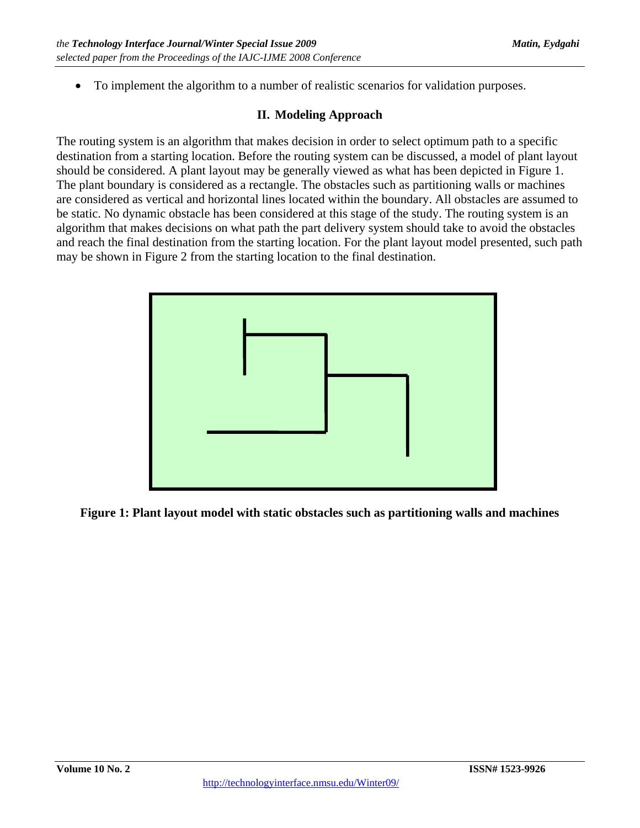To implement the algorithm to a number of realistic scenarios for validation purposes.

# **II. Modeling Approach**

The routing system is an algorithm that makes decision in order to select optimum path to a specific destination from a starting location. Before the routing system can be discussed, a model of plant layout should be considered. A plant layout may be generally viewed as what has been depicted in Figure 1. The plant boundary is considered as a rectangle. The obstacles such as partitioning walls or machines are considered as vertical and horizontal lines located within the boundary. All obstacles are assumed to be static. No dynamic obstacle has been considered at this stage of the study. The routing system is an algorithm that makes decisions on what path the part delivery system should take to avoid the obstacles and reach the final destination from the starting location. For the plant layout model presented, such path may be shown in Figure 2 from the starting location to the final destination.



**Figure 1: Plant layout model with static obstacles such as partitioning walls and machines**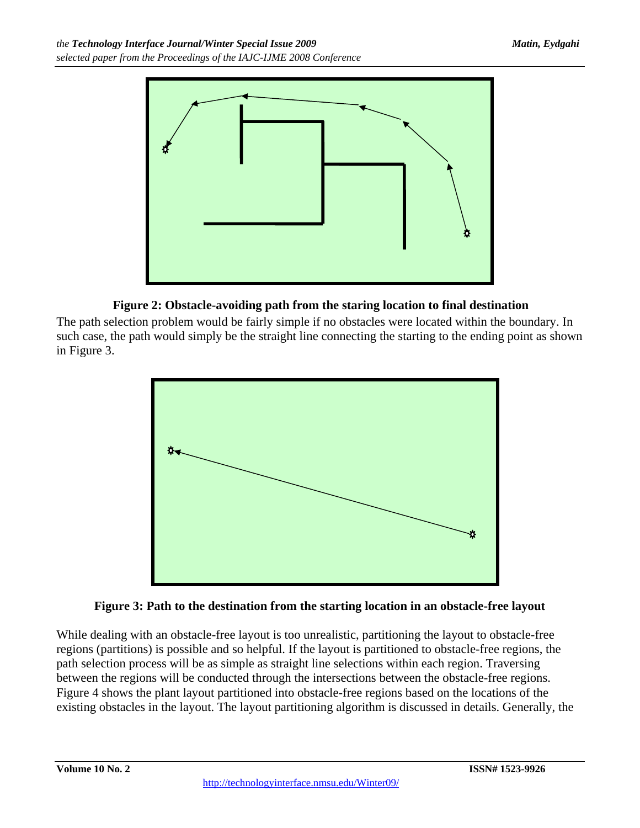

# **Figure 2: Obstacle-avoiding path from the staring location to final destination**

The path selection problem would be fairly simple if no obstacles were located within the boundary. In such case, the path would simply be the straight line connecting the starting to the ending point as shown in Figure 3.



# **Figure 3: Path to the destination from the starting location in an obstacle-free layout**

While dealing with an obstacle-free layout is too unrealistic, partitioning the layout to obstacle-free regions (partitions) is possible and so helpful. If the layout is partitioned to obstacle-free regions, the path selection process will be as simple as straight line selections within each region. Traversing between the regions will be conducted through the intersections between the obstacle-free regions. Figure 4 shows the plant layout partitioned into obstacle-free regions based on the locations of the existing obstacles in the layout. The layout partitioning algorithm is discussed in details. Generally, the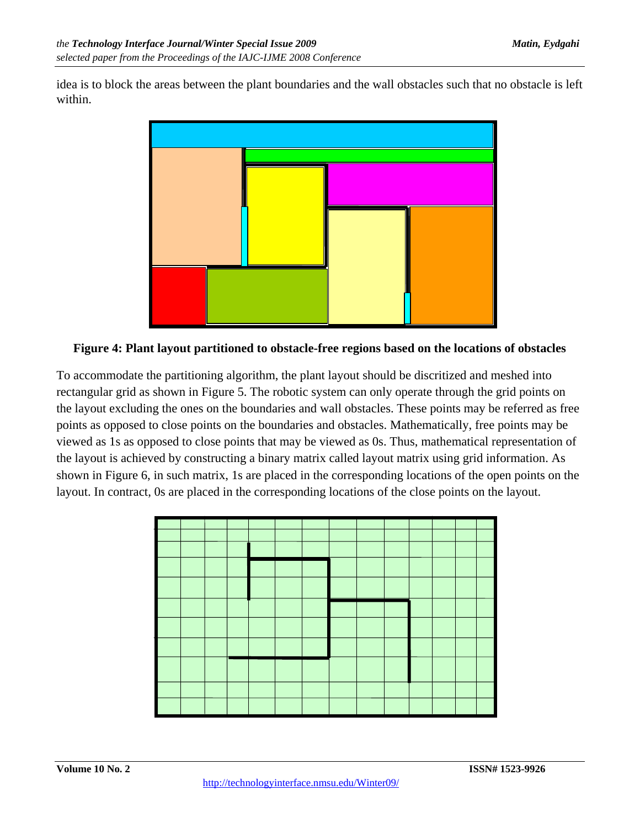idea is to block the areas between the plant boundaries and the wall obstacles such that no obstacle is left within.



**Figure 4: Plant layout partitioned to obstacle-free regions based on the locations of obstacles** 

To accommodate the partitioning algorithm, the plant layout should be discritized and meshed into rectangular grid as shown in Figure 5. The robotic system can only operate through the grid points on the layout excluding the ones on the boundaries and wall obstacles. These points may be referred as free points as opposed to close points on the boundaries and obstacles. Mathematically, free points may be viewed as 1s as opposed to close points that may be viewed as 0s. Thus, mathematical representation of the layout is achieved by constructing a binary matrix called layout matrix using grid information. As shown in Figure 6, in such matrix, 1s are placed in the corresponding locations of the open points on the layout. In contract, 0s are placed in the corresponding locations of the close points on the layout.

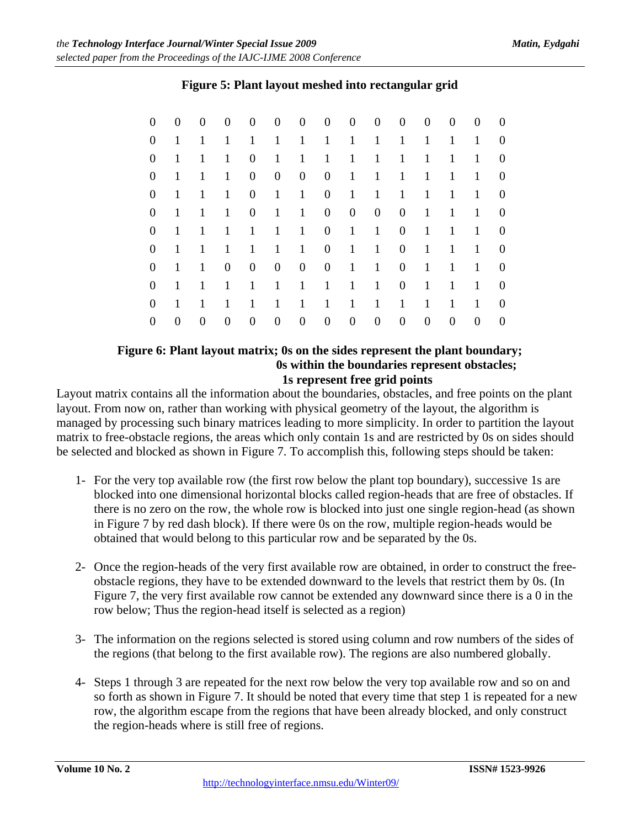| 0                | $\boldsymbol{0}$ | $\overline{0}$   | $\boldsymbol{0}$ | $\boldsymbol{0}$ | $\overline{0}$ | $\overline{0}$ | $\overline{0}$   | $\overline{0}$   | $\overline{0}$   | $\mathbf{0}$     | $\boldsymbol{0}$ | $\boldsymbol{0}$ | $\theta$       | $\overline{0}$ |
|------------------|------------------|------------------|------------------|------------------|----------------|----------------|------------------|------------------|------------------|------------------|------------------|------------------|----------------|----------------|
| $\boldsymbol{0}$ | 1                | 1                | $\mathbf{1}$     | $\mathbf{1}$     | $\mathbf{1}$   | $\mathbf{1}$   | $\mathbf{1}$     | $\mathbf{1}$     | $\mathbf{1}$     | $\mathbf{1}$     | $\mathbf{1}$     | $\mathbf{1}$     | $\mathbf{1}$   | $\theta$       |
| $\boldsymbol{0}$ | $\mathbf{1}$     | 1                | $\mathbf{1}$     | $\overline{0}$   | $\mathbf{1}$   | $\mathbf{1}$   | $\mathbf{1}$     | $\mathbf{1}$     | $\mathbf{1}$     | $\mathbf{1}$     | $\mathbf{1}$     | $\mathbf{1}$     | $\mathbf{1}$   | $\theta$       |
| $\boldsymbol{0}$ | $\mathbf{1}$     | $\mathbf{1}$     | $\mathbf{1}$     | $\boldsymbol{0}$ | $\overline{0}$ | $\overline{0}$ | $\boldsymbol{0}$ | $\mathbf{1}$     | $\mathbf{1}$     | $\mathbf{1}$     | $\mathbf{1}$     | $\mathbf{1}$     | $\mathbf{1}$   | $\theta$       |
| $\boldsymbol{0}$ | $\mathbf{1}$     | $\mathbf{1}$     | $\mathbf{1}$     | $\overline{0}$   | $\mathbf{1}$   | $\mathbf{1}$   | $\overline{0}$   | $\mathbf{1}$     | $\mathbf{1}$     | $\mathbf{1}$     | $\mathbf{1}$     | $\mathbf{1}$     | $\mathbf{1}$   | $\overline{0}$ |
| $\boldsymbol{0}$ | 1                | $\mathbf{1}$     | $\mathbf{1}$     | $\overline{0}$   | $\mathbf{1}$   | $\mathbf{1}$   | $\overline{0}$   | $\overline{0}$   | $\overline{0}$   | $\boldsymbol{0}$ | $\mathbf{1}$     | $\mathbf{1}$     | $\mathbf{1}$   | $\overline{0}$ |
| $\boldsymbol{0}$ | 1                | $\mathbf{1}$     | $\mathbf{1}$     | $\mathbf{1}$     | $\mathbf{1}$   | $\mathbf{1}$   | $\overline{0}$   | $\overline{1}$   | $\mathbf{1}$     | $\overline{0}$   | $\mathbf{1}$     | $\mathbf{1}$     | 1              | $\overline{0}$ |
| $\boldsymbol{0}$ | 1                | $\mathbf{1}$     | $\mathbf{1}$     | $\mathbf{1}$     | $\mathbf{1}$   | $\mathbf{1}$   | $\overline{0}$   | $\vert 1 \vert$  | $\overline{1}$   | $\mathbf{0}$     | $\mathbf{1}$     | $\mathbf{1}$     | 1              | $\overline{0}$ |
| $\boldsymbol{0}$ | $\mathbf{1}$     | $\mathbf{1}$     | $\mathbf{0}$     | $\overline{0}$   | $\overline{0}$ | $\overline{0}$ | $\overline{0}$   | $\vert 1 \vert$  | $\mathbf{1}$     | $\mathbf{0}$     | $\mathbf{1}$     | $\mathbf{1}$     | $\mathbf{1}$   | $\overline{0}$ |
| $\boldsymbol{0}$ | 1                | $\mathbf{1}$     | $\mathbf{1}$     | $\mathbf{1}$     | $\mathbf{1}$   | $\mathbf{1}$   | $\mathbf{1}$     | $\mathbf{1}$     | $\mathbf{1}$     | $\overline{0}$   | $\mathbf{1}$     | $\mathbf{1}$     | $\mathbf{1}$   | $\theta$       |
| $\boldsymbol{0}$ | 1                | $\mathbf{1}$     | $\mathbf{1}$     | $\mathbf{1}$     | $\mathbf{1}$   | $\mathbf{1}$   | $\mathbf{1}$     | $\mathbf{1}$     | $\mathbf{1}$     | $\mathbf{1}$     | $\mathbf{1}$     | $\mathbf{1}$     | $\mathbf{1}$   | $\theta$       |
| 0                | $\overline{0}$   | $\boldsymbol{0}$ | $\mathbf{0}$     | $\boldsymbol{0}$ | $\overline{0}$ | $\mathbf{0}$   | $\overline{0}$   | $\boldsymbol{0}$ | $\boldsymbol{0}$ | $\overline{0}$   | $\mathbf{0}$     | $\boldsymbol{0}$ | $\overline{0}$ | $\Omega$       |

# **Figure 5: Plant layout meshed into rectangular grid**

#### **Figure 6: Plant layout matrix; 0s on the sides represent the plant boundary; 0s within the boundaries represent obstacles; 1s represent free grid points**

Layout matrix contains all the information about the boundaries, obstacles, and free points on the plant layout. From now on, rather than working with physical geometry of the layout, the algorithm is managed by processing such binary matrices leading to more simplicity. In order to partition the layout matrix to free-obstacle regions, the areas which only contain 1s and are restricted by 0s on sides should be selected and blocked as shown in Figure 7. To accomplish this, following steps should be taken:

- 1- For the very top available row (the first row below the plant top boundary), successive 1s are blocked into one dimensional horizontal blocks called region-heads that are free of obstacles. If there is no zero on the row, the whole row is blocked into just one single region-head (as shown in Figure 7 by red dash block). If there were 0s on the row, multiple region-heads would be obtained that would belong to this particular row and be separated by the 0s.
- 2- Once the region-heads of the very first available row are obtained, in order to construct the freeobstacle regions, they have to be extended downward to the levels that restrict them by 0s. (In Figure 7, the very first available row cannot be extended any downward since there is a 0 in the row below; Thus the region-head itself is selected as a region)
- 3- The information on the regions selected is stored using column and row numbers of the sides of the regions (that belong to the first available row). The regions are also numbered globally.
- 4- Steps 1 through 3 are repeated for the next row below the very top available row and so on and so forth as shown in Figure 7. It should be noted that every time that step 1 is repeated for a new row, the algorithm escape from the regions that have been already blocked, and only construct the region-heads where is still free of regions.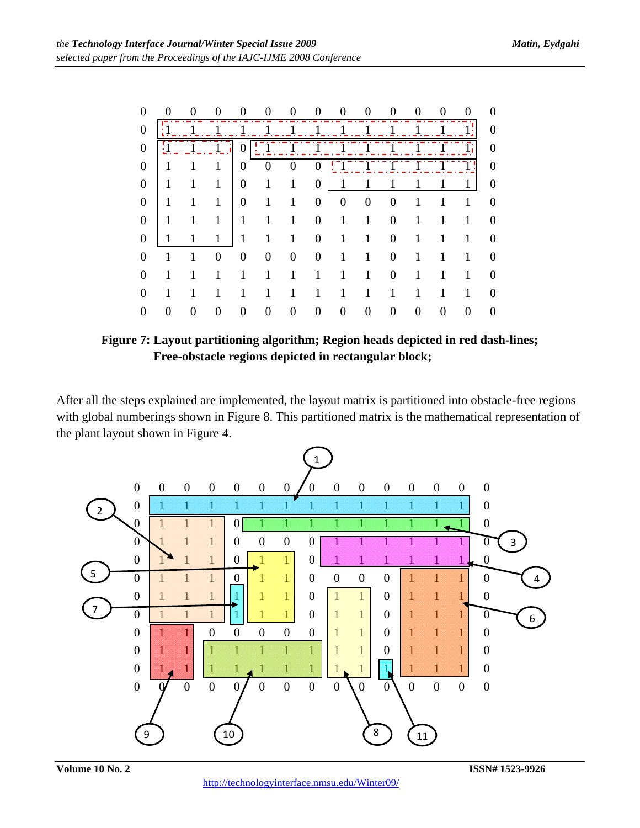| 0                |  |   |   |          |   |   |  |    | $\Omega$         |
|------------------|--|---|---|----------|---|---|--|----|------------------|
| $\boldsymbol{0}$ |  |   |   |          |   |   |  |    | $\overline{0}$   |
| $\boldsymbol{0}$ |  | 0 |   |          |   |   |  | Īτ | $\boldsymbol{0}$ |
| $\boldsymbol{0}$ |  | 0 |   | $\Omega$ |   |   |  |    | $\overline{0}$   |
| 0                |  | 0 |   |          |   |   |  |    | 0                |
| $\boldsymbol{0}$ |  | 0 |   |          | 0 |   |  |    | $\theta$         |
| 0                |  |   |   |          |   |   |  |    | 0                |
| $\theta$         |  |   |   |          |   |   |  |    | 0                |
| $\mathbf 0$      |  | 0 | 0 |          |   | 0 |  |    | 0                |
| $\theta$         |  |   |   |          |   |   |  |    | $\theta$         |
| $\theta$         |  |   |   |          |   |   |  |    | 0                |
|                  |  |   |   |          |   |   |  |    | 0                |

**Figure 7: Layout partitioning algorithm; Region heads depicted in red dash-lines; Free-obstacle regions depicted in rectangular block;** 

After all the steps explained are implemented, the layout matrix is partitioned into obstacle-free regions with global numberings shown in Figure 8. This partitioned matrix is the mathematical representation of the plant layout shown in Figure 4.

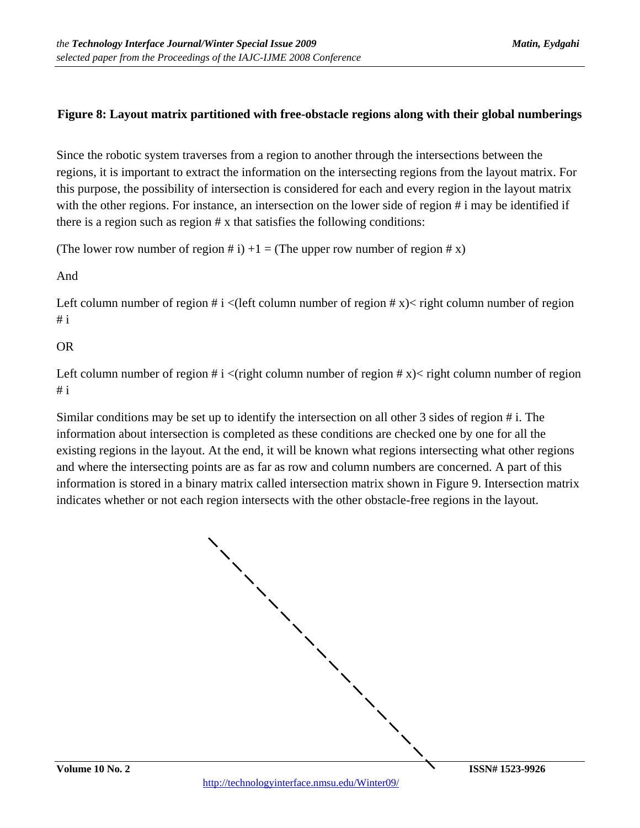## **Figure 8: Layout matrix partitioned with free-obstacle regions along with their global numberings**

Since the robotic system traverses from a region to another through the intersections between the regions, it is important to extract the information on the intersecting regions from the layout matrix. For this purpose, the possibility of intersection is considered for each and every region in the layout matrix with the other regions. For instance, an intersection on the lower side of region # i may be identified if there is a region such as region # x that satisfies the following conditions:

(The lower row number of region # i)  $+1 =$  (The upper row number of region # x)

And

Left column number of region #  $i$  < (left column number of region #  $x$ )  $\lt$  right column number of region  $# i$ 

### OR

Left column number of region #  $i \lt (right$  column number of region #  $x) \lt$  right column number of region  $# i$ 

Similar conditions may be set up to identify the intersection on all other 3 sides of region # i. The information about intersection is completed as these conditions are checked one by one for all the existing regions in the layout. At the end, it will be known what regions intersecting what other regions and where the intersecting points are as far as row and column numbers are concerned. A part of this information is stored in a binary matrix called intersection matrix shown in Figure 9. Intersection matrix indicates whether or not each region intersects with the other obstacle-free regions in the layout.

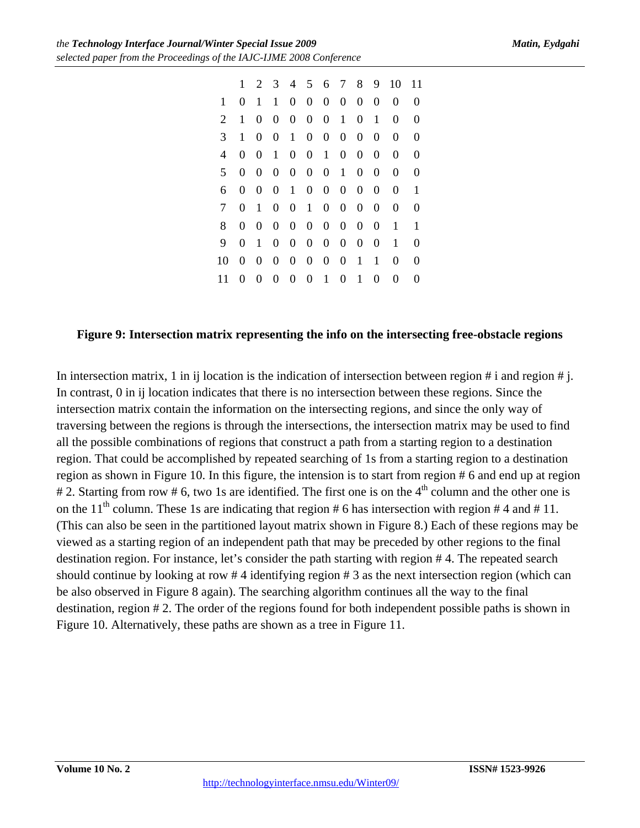|    | 1                | 2                | 3                |                  | 4 5              |                  | 6 7              | 8                | 9                | 10             | 11       |
|----|------------------|------------------|------------------|------------------|------------------|------------------|------------------|------------------|------------------|----------------|----------|
| 1  | 0                | 1                | 1                | $\overline{0}$   | $\overline{0}$   | $\overline{0}$   | $\boldsymbol{0}$ | $\boldsymbol{0}$ | $\overline{0}$   | 0              | $\theta$ |
| 2  | 1                | 0                | $\boldsymbol{0}$ | $\mathbf{0}$     | $\overline{0}$   | $\boldsymbol{0}$ | $\mathbf{1}$     | $\boldsymbol{0}$ | 1                | 0              | 0        |
| 3  | 1                | $\overline{0}$   | $\boldsymbol{0}$ | 1                | $\mathbf{0}$     | $\overline{0}$   | $\boldsymbol{0}$ | $\boldsymbol{0}$ | $\overline{0}$   | $\overline{0}$ | $\theta$ |
| 4  | 0                | $\boldsymbol{0}$ | $\mathbf{1}$     | $\mathbf{0}$     | $\overline{0}$   | 1                | $\overline{0}$   | $\boldsymbol{0}$ | $\overline{0}$   | 0              | $\theta$ |
| 5  | 0                | $\boldsymbol{0}$ | $\boldsymbol{0}$ | $\mathbf{0}$     | $\overline{0}$   | $\boldsymbol{0}$ | $\mathbf{1}$     | $\boldsymbol{0}$ | $\overline{0}$   | 0              | 0        |
| 6  | 0                | $\overline{0}$   | $\boldsymbol{0}$ | $\mathbf{1}$     | $\overline{0}$   | $\overline{0}$   | $\boldsymbol{0}$ | $\boldsymbol{0}$ | $\overline{0}$   | 0              | 1        |
| 7  | 0                | 1                | $\overline{0}$   | $\overline{0}$   | $\mathbf{1}$     | $\overline{0}$   | $\boldsymbol{0}$ | $\boldsymbol{0}$ | $\boldsymbol{0}$ | 0              | $\theta$ |
| 8  | $\Omega$         | 0                | $\overline{0}$   | $\overline{0}$   | $\boldsymbol{0}$ | $\boldsymbol{0}$ | $\boldsymbol{0}$ | $\boldsymbol{0}$ | 0                | 1              | 1        |
| 9  | 0                | 1                | $\overline{0}$   | $\overline{0}$   | $\overline{0}$   | $\overline{0}$   | $\boldsymbol{0}$ | $\boldsymbol{0}$ | $\boldsymbol{0}$ | 1              | 0        |
| 10 | $\boldsymbol{0}$ | $\boldsymbol{0}$ | $\boldsymbol{0}$ | $\overline{0}$   | $\overline{0}$   | $\overline{0}$   | $\boldsymbol{0}$ | $\mathbf{1}$     | 1                | $\overline{0}$ | $\theta$ |
| 11 | 0                | 0                | $\boldsymbol{0}$ | $\boldsymbol{0}$ | $\overline{0}$   | 1                | $\boldsymbol{0}$ | 1                | 0                | 0              | 0        |

### **Figure 9: Intersection matrix representing the info on the intersecting free-obstacle regions**

In intersection matrix, 1 in ij location is the indication of intersection between region # i and region # j. In contrast, 0 in ij location indicates that there is no intersection between these regions. Since the intersection matrix contain the information on the intersecting regions, and since the only way of traversing between the regions is through the intersections, the intersection matrix may be used to find all the possible combinations of regions that construct a path from a starting region to a destination region. That could be accomplished by repeated searching of 1s from a starting region to a destination region as shown in Figure 10. In this figure, the intension is to start from region # 6 and end up at region # 2. Starting from row # 6, two 1s are identified. The first one is on the 4<sup>th</sup> column and the other one is on the 11<sup>th</sup> column. These 1s are indicating that region # 6 has intersection with region # 4 and # 11. (This can also be seen in the partitioned layout matrix shown in Figure 8.) Each of these regions may be viewed as a starting region of an independent path that may be preceded by other regions to the final destination region. For instance, let's consider the path starting with region # 4. The repeated search should continue by looking at row # 4 identifying region # 3 as the next intersection region (which can be also observed in Figure 8 again). The searching algorithm continues all the way to the final destination, region # 2. The order of the regions found for both independent possible paths is shown in Figure 10. Alternatively, these paths are shown as a tree in Figure 11.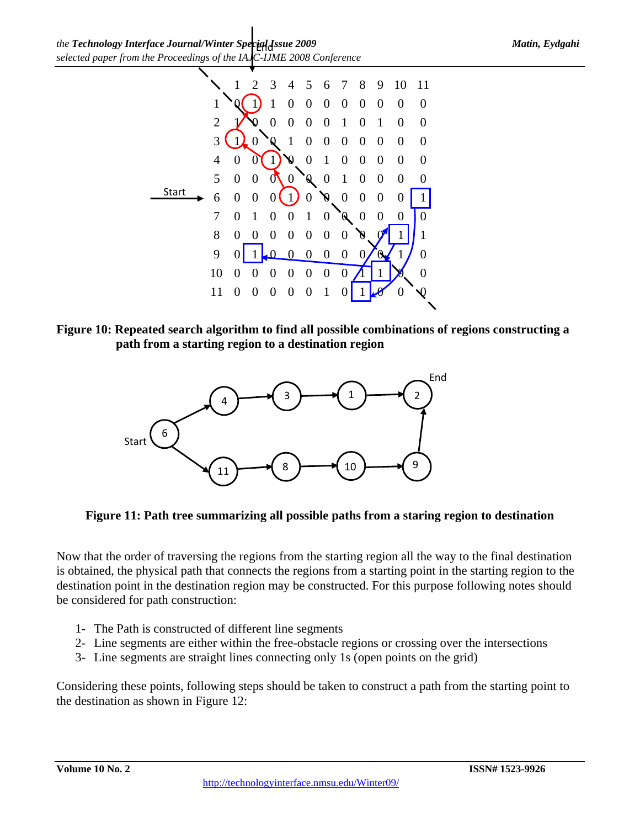

**Figure 10: Repeated search algorithm to find all possible combinations of regions constructing a path from a starting region to a destination region** 



**Figure 11: Path tree summarizing all possible paths from a staring region to destination** 

Now that the order of traversing the regions from the starting region all the way to the final destination is obtained, the physical path that connects the regions from a starting point in the starting region to the destination point in the destination region may be constructed. For this purpose following notes should be considered for path construction:

- 1- The Path is constructed of different line segments
- 2- Line segments are either within the free-obstacle regions or crossing over the intersections
- 3- Line segments are straight lines connecting only 1s (open points on the grid)

Considering these points, following steps should be taken to construct a path from the starting point to the destination as shown in Figure 12: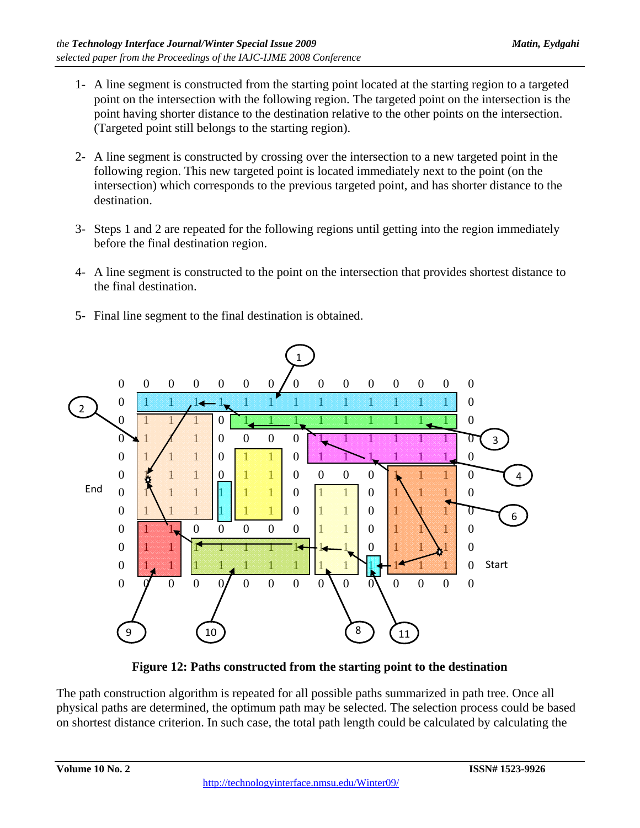- 1- A line segment is constructed from the starting point located at the starting region to a targeted point on the intersection with the following region. The targeted point on the intersection is the point having shorter distance to the destination relative to the other points on the intersection. (Targeted point still belongs to the starting region).
- 2- A line segment is constructed by crossing over the intersection to a new targeted point in the following region. This new targeted point is located immediately next to the point (on the intersection) which corresponds to the previous targeted point, and has shorter distance to the destination.
- 3- Steps 1 and 2 are repeated for the following regions until getting into the region immediately before the final destination region.
- 4- A line segment is constructed to the point on the intersection that provides shortest distance to the final destination.
- 5- Final line segment to the final destination is obtained.



**Figure 12: Paths constructed from the starting point to the destination** 

The path construction algorithm is repeated for all possible paths summarized in path tree. Once all physical paths are determined, the optimum path may be selected. The selection process could be based on shortest distance criterion. In such case, the total path length could be calculated by calculating the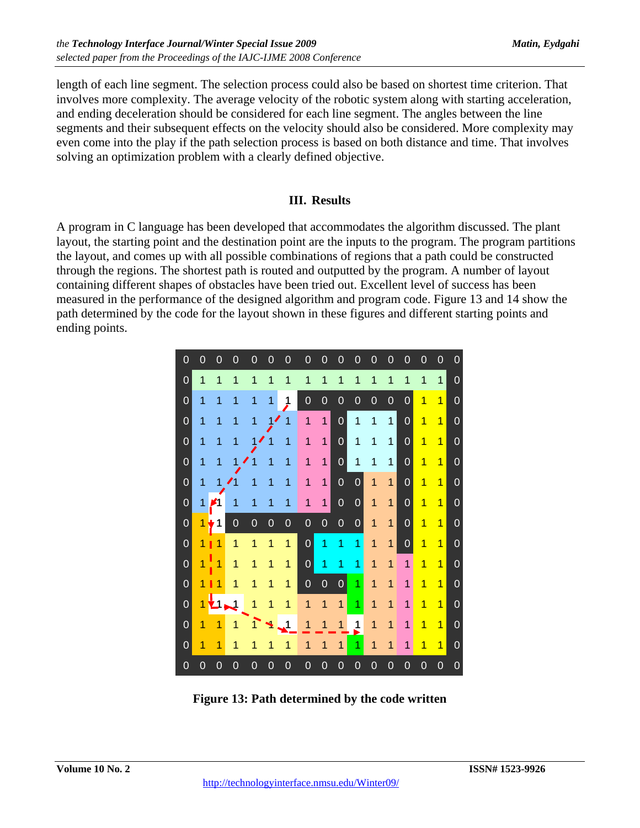length of each line segment. The selection process could also be based on shortest time criterion. That involves more complexity. The average velocity of the robotic system along with starting acceleration, and ending deceleration should be considered for each line segment. The angles between the line segments and their subsequent effects on the velocity should also be considered. More complexity may even come into the play if the path selection process is based on both distance and time. That involves solving an optimization problem with a clearly defined objective.

## **III. Results**

A program in C language has been developed that accommodates the algorithm discussed. The plant layout, the starting point and the destination point are the inputs to the program. The program partitions the layout, and comes up with all possible combinations of regions that a path could be constructed through the regions. The shortest path is routed and outputted by the program. A number of layout containing different shapes of obstacles have been tried out. Excellent level of success has been measured in the performance of the designed algorithm and program code. Figure 13 and 14 show the path determined by the code for the layout shown in these figures and different starting points and ending points.



**Figure 13: Path determined by the code written**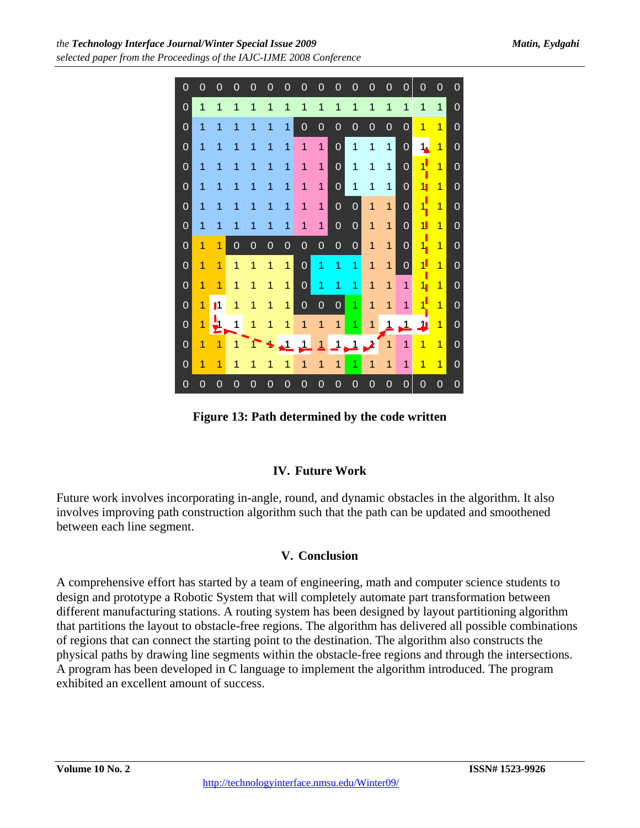

**Figure 13: Path determined by the code written** 

# **IV. Future Work**

Future work involves incorporating in-angle, round, and dynamic obstacles in the algorithm. It also involves improving path construction algorithm such that the path can be updated and smoothened between each line segment.

## **V. Conclusion**

A comprehensive effort has started by a team of engineering, math and computer science students to design and prototype a Robotic System that will completely automate part transformation between different manufacturing stations. A routing system has been designed by layout partitioning algorithm that partitions the layout to obstacle-free regions. The algorithm has delivered all possible combinations of regions that can connect the starting point to the destination. The algorithm also constructs the physical paths by drawing line segments within the obstacle-free regions and through the intersections. A program has been developed in C language to implement the algorithm introduced. The program exhibited an excellent amount of success.